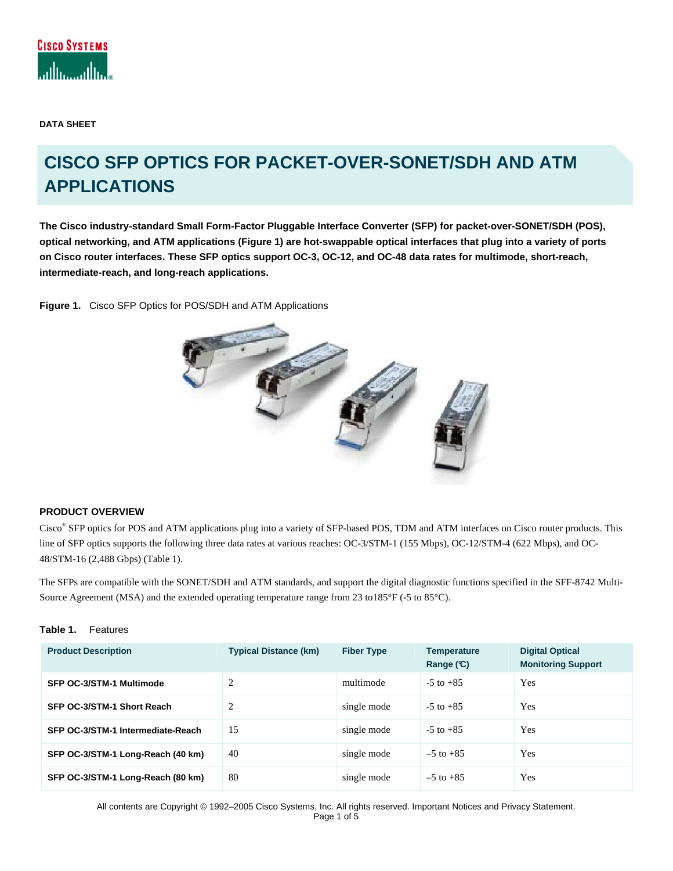

**DATA SHEET** 

# **CISCO SFP OPTICS FOR PACKET-OVER-SONET/SDH AND ATM APPLICATIONS**

**The Cisco industry-standard Small Form-Factor Pluggable Interface Converter (SFP) for packet-over-SONET/SDH (POS), optical networking, and ATM applications (Figure 1) are hot-swappable optical interfaces that plug into a variety of ports on Cisco router interfaces. These SFP optics support OC-3, OC-12, and OC-48 data rates for multimode, short-reach, intermediate-reach, and long-reach applications.**

**Figure 1.** Cisco SFP Optics for POS/SDH and ATM Applications



# **PRODUCT OVERVIEW**

Cisco<sup>®</sup> SFP optics for POS and ATM applications plug into a variety of SFP-based POS, TDM and ATM interfaces on Cisco router products. This line of SFP optics supports the following three data rates at various reaches: OC-3/STM-1 (155 Mbps), OC-12/STM-4 (622 Mbps), and OC-48/STM-16 (2,488 Gbps) (Table 1).

The SFPs are compatible with the SONET/SDH and ATM standards, and support the digital diagnostic functions specified in the SFF-8742 Multi-Source Agreement (MSA) and the extended operating temperature range from 23 to185°F (-5 to 85°C).

## **Table 1.** Features

| <b>Product Description</b>        | <b>Typical Distance (km)</b> | <b>Fiber Type</b> | <b>Temperature</b><br>Range $(C)$ | <b>Digital Optical</b><br><b>Monitoring Support</b> |
|-----------------------------------|------------------------------|-------------------|-----------------------------------|-----------------------------------------------------|
| SFP OC-3/STM-1 Multimode          | 2                            | multimode         | $-5$ to $+85$                     | Yes                                                 |
| SFP OC-3/STM-1 Short Reach        | $\overline{2}$               | single mode       | $-5$ to $+85$                     | <b>Yes</b>                                          |
| SFP OC-3/STM-1 Intermediate-Reach | 15                           | single mode       | $-5$ to $+85$                     | Yes                                                 |
| SFP OC-3/STM-1 Long-Reach (40 km) | 40                           | single mode       | $-5$ to $+85$                     | Yes                                                 |
| SFP OC-3/STM-1 Long-Reach (80 km) | 80                           | single mode       | $-5$ to $+85$                     | Yes                                                 |

All contents are Copyright © 1992–2005 Cisco Systems, Inc. All rights reserved. Important Notices and Privacy Statement. Page 1 of 5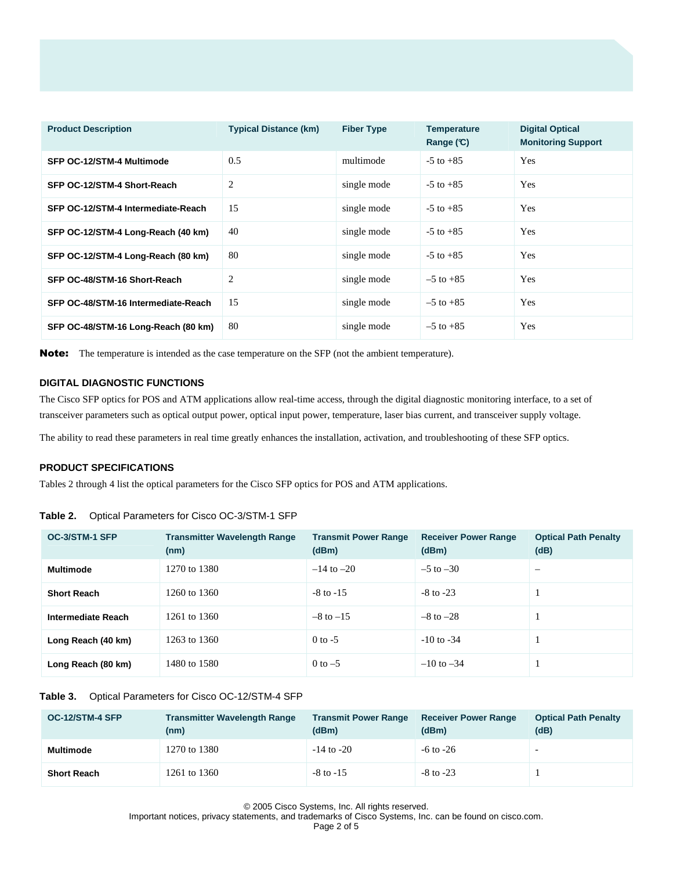| <b>Product Description</b>          | <b>Typical Distance (km)</b> | <b>Fiber Type</b> | <b>Temperature</b><br>Range $(C)$ | <b>Digital Optical</b><br><b>Monitoring Support</b> |
|-------------------------------------|------------------------------|-------------------|-----------------------------------|-----------------------------------------------------|
| SFP OC-12/STM-4 Multimode           | 0.5                          | multimode         | $-5$ to $+85$                     | Yes                                                 |
| SFP OC-12/STM-4 Short-Reach         | 2                            | single mode       | $-5$ to $+85$                     | Yes                                                 |
| SFP OC-12/STM-4 Intermediate-Reach  | 15                           | single mode       | $-5$ to $+85$                     | Yes                                                 |
| SFP OC-12/STM-4 Long-Reach (40 km)  | 40                           | single mode       | $-5$ to $+85$                     | Yes                                                 |
| SFP OC-12/STM-4 Long-Reach (80 km)  | 80                           | single mode       | $-5$ to $+85$                     | Yes                                                 |
| SFP OC-48/STM-16 Short-Reach        | 2                            | single mode       | $-5$ to $+85$                     | Yes                                                 |
| SFP OC-48/STM-16 Intermediate-Reach | 15                           | single mode       | $-5$ to $+85$                     | Yes                                                 |
| SFP OC-48/STM-16 Long-Reach (80 km) | 80                           | single mode       | $-5$ to $+85$                     | Yes                                                 |

Note: The temperature is intended as the case temperature on the SFP (not the ambient temperature).

# **DIGITAL DIAGNOSTIC FUNCTIONS**

The Cisco SFP optics for POS and ATM applications allow real-time access, through the digital diagnostic monitoring interface, to a set of transceiver parameters such as optical output power, optical input power, temperature, laser bias current, and transceiver supply voltage.

The ability to read these parameters in real time greatly enhances the installation, activation, and troubleshooting of these SFP optics.

## **PRODUCT SPECIFICATIONS**

Tables 2 through 4 list the optical parameters for the Cisco SFP optics for POS and ATM applications.

#### **Table 2.** Optical Parameters for Cisco OC-3/STM-1 SFP

| OC-3/STM-1 SFP     | <b>Transmitter Wavelength Range</b><br>(nm) | <b>Transmit Power Range</b><br>(dBm) | <b>Receiver Power Range</b><br>(dBm) | <b>Optical Path Penalty</b><br>(dB) |
|--------------------|---------------------------------------------|--------------------------------------|--------------------------------------|-------------------------------------|
| Multimode          | 1270 to 1380                                | $-14$ to $-20$                       | $-5$ to $-30$                        | $\overline{\phantom{0}}$            |
| <b>Short Reach</b> | 1260 to 1360                                | $-8$ to $-15$                        | $-8$ to $-23$                        |                                     |
| Intermediate Reach | 1261 to 1360                                | $-8$ to $-15$                        | $-8$ to $-28$                        |                                     |
| Long Reach (40 km) | 1263 to 1360                                | $0$ to $-5$                          | $-10$ to $-34$                       |                                     |
| Long Reach (80 km) | 1480 to 1580                                | $0$ to $-5$                          | $-10$ to $-34$                       |                                     |

## **Table 3.** Optical Parameters for Cisco OC-12/STM-4 SFP

| OC-12/STM-4 SFP    | <b>Transmitter Wavelength Range</b><br>(nm) | <b>Transmit Power Range</b><br>(dBm) | <b>Receiver Power Range</b><br>(dBm) | <b>Optical Path Penalty</b><br>(dB) |
|--------------------|---------------------------------------------|--------------------------------------|--------------------------------------|-------------------------------------|
| <b>Multimode</b>   | 1270 to 1380                                | $-14$ to $-20$                       | $-6$ to $-26$                        | $\overline{\phantom{0}}$            |
| <b>Short Reach</b> | 1261 to 1360                                | $-8$ to $-15$                        | $-8$ to $-23$                        |                                     |

© 2005 Cisco Systems, Inc. All rights reserved.

Important notices, privacy statements, and trademarks of Cisco Systems, Inc. can be found on cisco.com.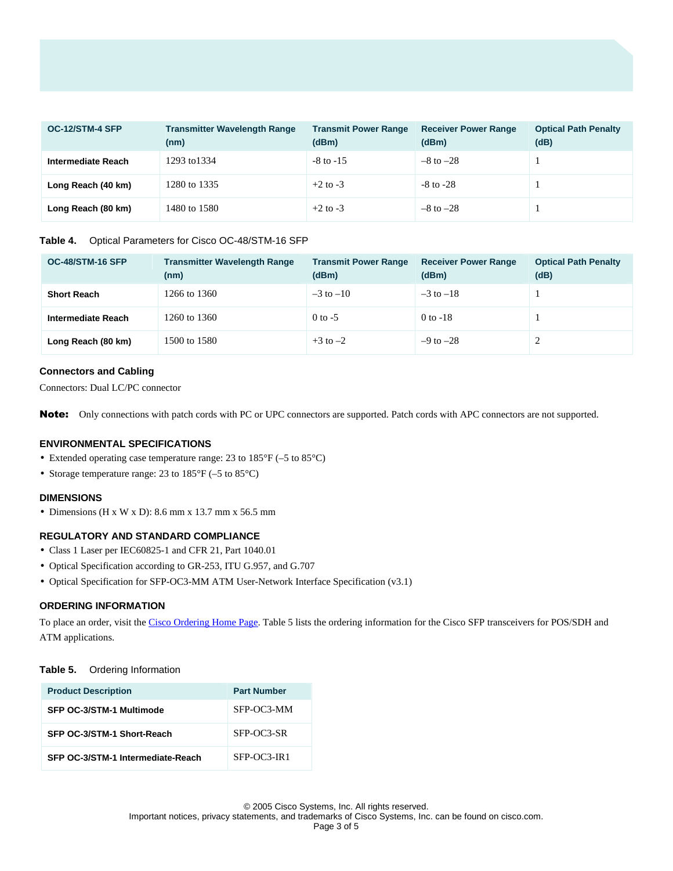| OC-12/STM-4 SFP    | <b>Transmitter Wavelength Range</b><br>(nm) | <b>Transmit Power Range</b><br>(dBm) | <b>Receiver Power Range</b><br>(dBm) | <b>Optical Path Penalty</b><br>(dB) |
|--------------------|---------------------------------------------|--------------------------------------|--------------------------------------|-------------------------------------|
| Intermediate Reach | 1293 to 1334                                | $-8$ to $-15$                        | $-8$ to $-28$                        |                                     |
| Long Reach (40 km) | 1280 to 1335                                | $+2$ to $-3$                         | $-8$ to $-28$                        |                                     |
| Long Reach (80 km) | 1480 to 1580                                | $+2$ to $-3$                         | $-8$ to $-28$                        |                                     |

#### **Table 4.** Optical Parameters for Cisco OC-48/STM-16 SFP

| OC-48/STM-16 SFP   | <b>Transmitter Wavelength Range</b><br>(nm) | <b>Transmit Power Range</b><br>(dBm) | <b>Receiver Power Range</b><br>(dBm) | <b>Optical Path Penalty</b><br>(dB) |
|--------------------|---------------------------------------------|--------------------------------------|--------------------------------------|-------------------------------------|
| <b>Short Reach</b> | 1266 to 1360                                | $-3$ to $-10$                        | $-3$ to $-18$                        |                                     |
| Intermediate Reach | 1260 to 1360                                | $0$ to $-5$                          | $0$ to -18                           |                                     |
| Long Reach (80 km) | 1500 to 1580                                | $+3$ to $-2$                         | $-9$ to $-28$                        |                                     |

#### **Connectors and Cabling**

Connectors: Dual LC/PC connector

Note: Only connections with patch cords with PC or UPC connectors are supported. Patch cords with APC connectors are not supported.

## **ENVIRONMENTAL SPECIFICATIONS**

- Extended operating case temperature range: 23 to 185°F (–5 to 85°C)
- Storage temperature range: 23 to 185°F (-5 to 85°C)

#### **DIMENSIONS**

• Dimensions (H x W x D): 8.6 mm x 13.7 mm x 56.5 mm

## **REGULATORY AND STANDARD COMPLIANCE**

- Class 1 Laser per IEC60825-1 and CFR 21, Part 1040.01
- Optical Specification according to GR-253, ITU G.957, and G.707
- Optical Specification for SFP-OC3-MM ATM User-Network Interface Specification (v3.1)

## **ORDERING INFORMATION**

To place an order, visit the [Cisco Ordering Home Page](http://www.cisco.com/en/US/ordering/or13/or8/order_customer_help_how_to_order_listing.html). Table 5 lists the ordering information for the Cisco SFP transceivers for POS/SDH and ATM applications.

#### **Table 5.** Ordering Information

| <b>Product Description</b>        | <b>Part Number</b> |
|-----------------------------------|--------------------|
| SFP OC-3/STM-1 Multimode          | SFP-OC3-MM         |
| SFP OC-3/STM-1 Short-Reach        | SFP-OC3-SR         |
| SFP OC-3/STM-1 Intermediate-Reach | $SFP-OC3-IR1$      |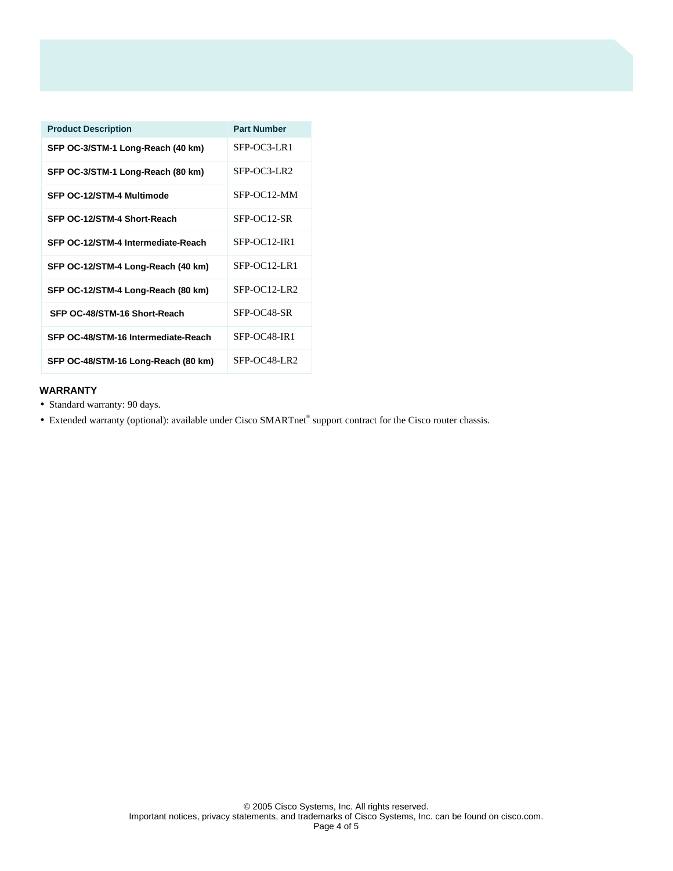| <b>Product Description</b>          | <b>Part Number</b> |
|-------------------------------------|--------------------|
| SFP OC-3/STM-1 Long-Reach (40 km)   | SFP-OC3-LR1        |
| SFP OC-3/STM-1 Long-Reach (80 km)   | SFP-OC3-LR2        |
| SFP OC-12/STM-4 Multimode           | SFP-OC12-MM        |
| SFP OC-12/STM-4 Short-Reach         | SFP-OC12-SR        |
| SFP OC-12/STM-4 Intermediate-Reach  | SFP-OC12-IR1       |
| SFP OC-12/STM-4 Long-Reach (40 km)  | $SFP-OC12-I.R1$    |
| SFP OC-12/STM-4 Long-Reach (80 km)  | $SFP-OC12-LR2$     |
| SFP OC-48/STM-16 Short-Reach        | SFP-OC48-SR        |
| SFP OC-48/STM-16 Intermediate-Reach | SFP-OC48-IR1       |
| SFP OC-48/STM-16 Long-Reach (80 km) | SFP-OC48-LR2       |

# **WARRANTY**

- Standard warranty: 90 days.
- Extended warranty (optional): available under Cisco SMARTnet® support contract for the Cisco router chassis.